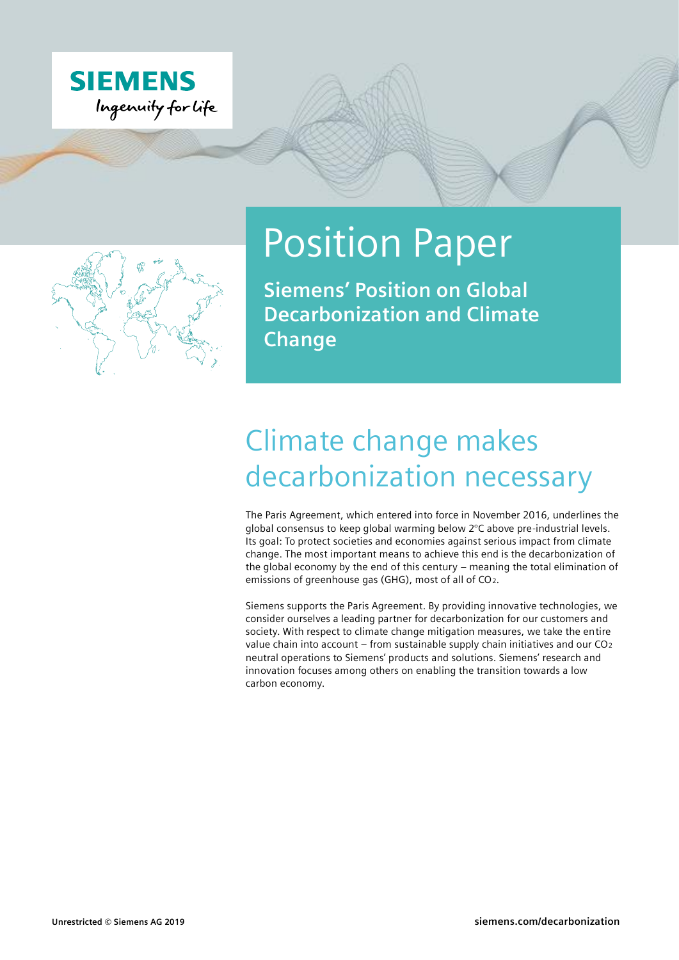



# Position Paper

**Siemens' Position on Global Decarbonization and Climate Change**

## Climate change makes decarbonization necessary

The Paris Agreement, which entered into force in November 2016, underlines the global consensus to keep global warming below 2°C above pre-industrial levels. Its goal: To protect societies and economies against serious impact from climate change. The most important means to achieve this end is the decarbonization of the global economy by the end of this century – meaning the total elimination of emissions of greenhouse gas (GHG), most of all of CO2.

Siemens supports the Paris Agreement. By providing innovative technologies, we consider ourselves a leading partner for decarbonization for our customers and society. With respect to climate change mitigation measures, we take the entire value chain into account – from sustainable supply chain initiatives and our CO<sup>2</sup> neutral operations to Siemens' products and solutions. Siemens' research and innovation focuses among others on enabling the transition towards a low carbon economy.